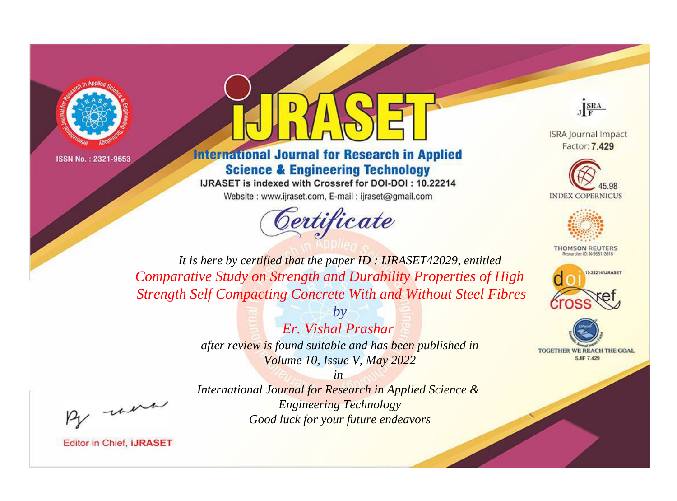



## **International Journal for Research in Applied Science & Engineering Technology**

IJRASET is indexed with Crossref for DOI-DOI: 10.22214 Website: www.ijraset.com, E-mail: ijraset@gmail.com



JERA

**ISRA Journal Impact** Factor: 7.429





**THOMSON REUTERS** 



TOGETHER WE REACH THE GOAL **SJIF 7.429** 

*It is here by certified that the paper ID : IJRASET42029, entitled Comparative Study on Strength and Durability Properties of High Strength Self Compacting Concrete With and Without Steel Fibres*

> *by Er. Vishal Prashar after review is found suitable and has been published in Volume 10, Issue V, May 2022*

, un

*in International Journal for Research in Applied Science & Engineering Technology Good luck for your future endeavors*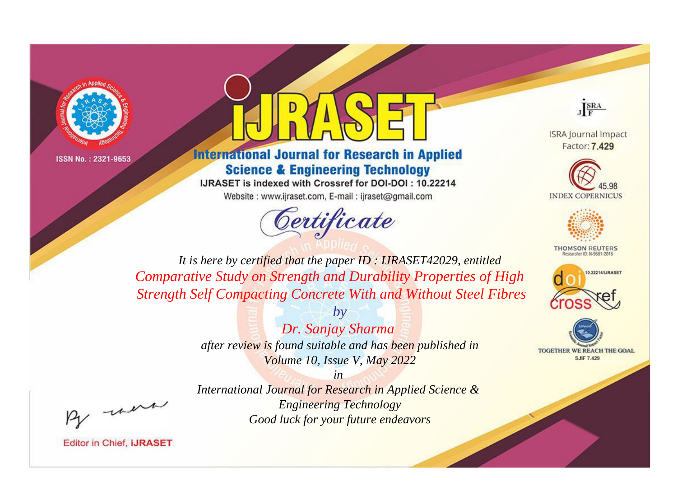



## **International Journal for Research in Applied Science & Engineering Technology**

IJRASET is indexed with Crossref for DOI-DOI: 10.22214 Website: www.ijraset.com, E-mail: ijraset@gmail.com



JERA

**ISRA Journal Impact** Factor: 7.429





**THOMSON REUTERS** 



TOGETHER WE REACH THE GOAL **SJIF 7.429** 

*It is here by certified that the paper ID : IJRASET42029, entitled Comparative Study on Strength and Durability Properties of High Strength Self Compacting Concrete With and Without Steel Fibres*

> *by Dr. Sanjay Sharma after review is found suitable and has been published in Volume 10, Issue V, May 2022*

were

*International Journal for Research in Applied Science & Engineering Technology Good luck for your future endeavors*

*in*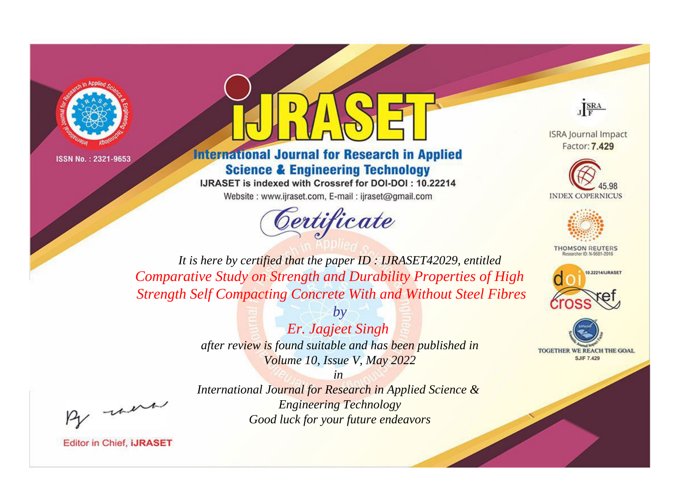



## **International Journal for Research in Applied Science & Engineering Technology**

IJRASET is indexed with Crossref for DOI-DOI: 10.22214 Website: www.ijraset.com, E-mail: ijraset@gmail.com



JERA

**ISRA Journal Impact** Factor: 7.429





**THOMSON REUTERS** 



TOGETHER WE REACH THE GOAL **SJIF 7.429** 

*It is here by certified that the paper ID : IJRASET42029, entitled Comparative Study on Strength and Durability Properties of High Strength Self Compacting Concrete With and Without Steel Fibres*

> *by Er. Jagjeet Singh after review is found suitable and has been published in Volume 10, Issue V, May 2022*

were

*International Journal for Research in Applied Science & Engineering Technology Good luck for your future endeavors*

*in*